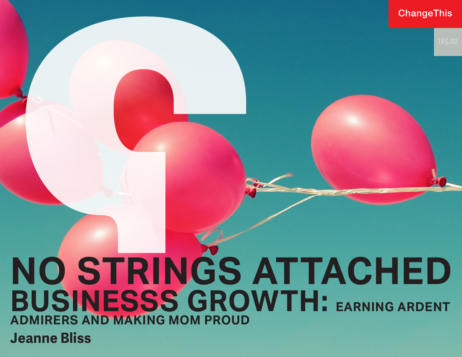### **ChangeThis**

# **Jeanne Bliss NO STRINGS ATTACHED BUSINESSS GROWTH: EARNING ARDENT ADMIRERS AND MAKING MOM PROUD**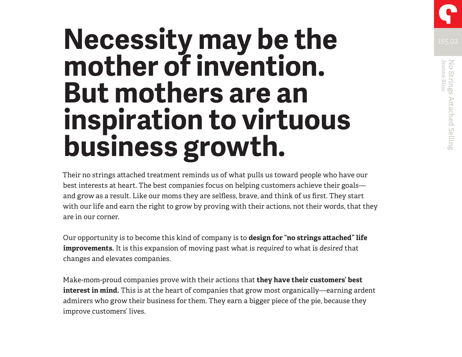# **Necessity may be the** *ISSO2* **mother of invention. But mothers are an inspiration to virtuous business growth.**

Their no strings attached treatment reminds us of what pulls us toward people who have our best interests at heart. The best companies focus on helping customers achieve their goals and grow as a result. Like our moms they are selfless, brave, and think of us first. They start with our life and earn the right to grow by proving with their actions, not their words, that they are in our corner.

Our opportunity is to become this kind of company is to **design for "no strings attached" life improvements.** It is this expansion of moving past what is *required* to what is *desired* that changes and elevates companies.

Make-mom-proud companies prove with their actions that **they have their customers' best interest in mind.** This is at the heart of companies that grow most organically—earning ardent admirers who grow their business for them. They earn a bigger piece of the pie, because they improve customers' lives.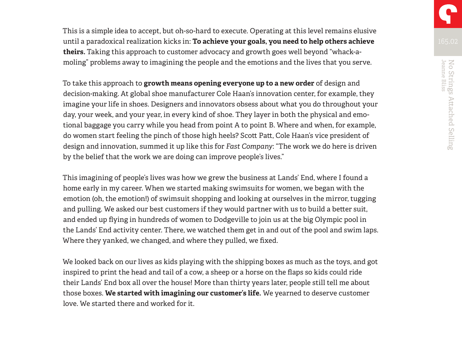This is a simple idea to accept, but oh-so-hard to execute. Operating at this level remains elusive until a paradoxical realization kicks in: **To achieve your goals, you need to help others achieve theirs.** Taking this approach to customer advocacy and growth goes well beyond "whack-amoling" problems away to imagining the people and the emotions and the lives that you serve.

To take this approach to **growth means opening everyone up to a new order** of design and decision-making. At global shoe manufacturer Cole Haan's innovation center, for example, they imagine your life in shoes. Designers and innovators obsess about what you do throughout your day, your week, and your year, in every kind of shoe. They layer in both the physical and emotional baggage you carry while you head from point A to point B. Where and when, for example, do women start feeling the pinch of those high heels? Scott Patt, Cole Haan's vice president of design and innovation, summed it up like this for *Fast Company*: "The work we do here is driven by the belief that the work we are doing can improve people's lives."

This imagining of people's lives was how we grew the business at Lands' End, where I found a home early in my career. When we started making swimsuits for women, we began with the emotion (oh, the emotion!) of swimsuit shopping and looking at ourselves in the mirror, tugging and pulling. We asked our best customers if they would partner with us to build a better suit, and ended up flying in hundreds of women to Dodgeville to join us at the big Olympic pool in the Lands' End activity center. There, we watched them get in and out of the pool and swim laps. Where they yanked, we changed, and where they pulled, we fixed.

We looked back on our lives as kids playing with the shipping boxes as much as the toys, and got inspired to print the head and tail of a cow, a sheep or a horse on the flaps so kids could ride their Lands' End box all over the house! More than thirty years later, people still tell me about those boxes. **We started with imagining our customer's life.** We yearned to deserve customer love. We started there and worked for it.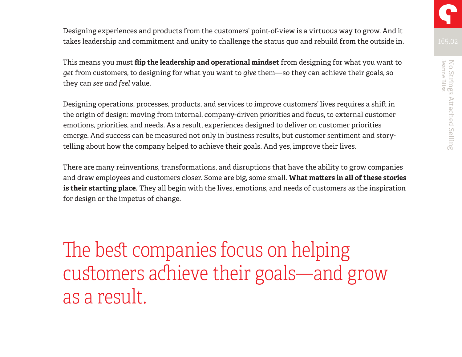

Designing experiences and products from the customers' point-of-view is a virtuous way to grow. And it takes leadership and commitment and unity to challenge the status quo and rebuild from the outside in.

This means you must **flip the leadership and operational mindset** from designing for what you want to *get* from customers, to designing for what you want to *give* them—so they can achieve their goals, so they can *see and feel* value.

Designing operations, processes, products, and services to improve customers' lives requires a shift in the origin of design: moving from internal, company-driven priorities and focus, to external customer emotions, priorities, and needs. As a result, experiences designed to deliver on customer priorities emerge. And success can be measured not only in business results, but customer sentiment and storytelling about how the company helped to achieve their goals. And yes, improve their lives.

There are many reinventions, transformations, and disruptions that have the ability to grow companies and draw employees and customers closer. Some are big, some small. **What matters in all of these stories is their starting place.** They all begin with the lives, emotions, and needs of customers as the inspiration for design or the impetus of change.

The best companies focus on helping customers achieve their goals—and grow as a result.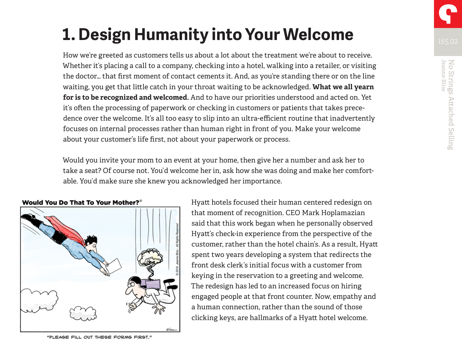How we're greeted as customers tells us about a lot about the treatment we're about to receive. Whether it's placing a call to a company, checking into a hotel, walking into a retailer, or visiting the doctor… that first moment of contact cements it. And, as you're standing there or on the line waiting, you get that little catch in your throat waiting to be acknowledged. **What we all yearn for is to be recognized and welcomed.** And to have our priorities understood and acted on. Yet it's often the processing of paperwork or checking in customers or patients that takes precedence over the welcome. It's all too easy to slip into an ultra-efficient routine that inadvertently focuses on internal processes rather than human right in front of you. Make your welcome about your customer's life first, not about your paperwork or process.

Would you invite your mom to an event at your home, then give her a number and ask her to take a seat? Of course not. You'd welcome her in, ask how she was doing and make her comfortable. You'd make sure she knew you acknowledged her importance.



Hyatt hotels focused their human centered redesign on that moment of recognition. CEO Mark Hoplamazian said that this work began when he personally observed Hyatt's check-in experience from the perspective of the customer, rather than the hotel chain's. As a result, Hyatt spent two years developing a system that redirects the front desk clerk's initial focus with a customer from keying in the reservation to a greeting and welcome. The redesign has led to an increased focus on hiring engaged people at that front counter. Now, empathy and a human connection, rather than the sound of those clicking keys, are hallmarks of a Hyatt hotel welcome.

"PLEASE FILL OUT THESE FORMS FIRST."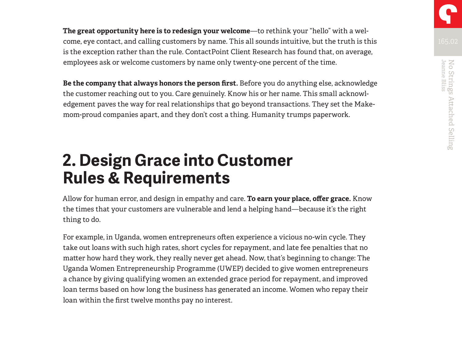**The great opportunity here is to redesign your welcome**—to rethink your "hello" with a welcome, eye contact, and calling customers by name. This all sounds intuitive, but the truth is this is the exception rather than the rule. ContactPoint Client Research has found that, on average, employees ask or welcome customers by name only twenty-one percent of the time.

**Be the company that always honors the person first.** Before you do anything else, acknowledge the customer reaching out to you. Care genuinely. Know his or her name. This small acknowledgement paves the way for real relationships that go beyond transactions. They set the Makemom-proud companies apart, and they don't cost a thing. Humanity trumps paperwork.

### **2. Design Grace into Customer Rules & Requirements**

Allow for human error, and design in empathy and care. **To earn your place, offer grace.** Know the times that your customers are vulnerable and lend a helping hand—because it's the right thing to do.

For example, in Uganda, women entrepreneurs often experience a vicious no-win cycle. They take out loans with such high rates, short cycles for repayment, and late fee penalties that no matter how hard they work, they really never get ahead. Now, that's beginning to change: The Uganda Women Entrepreneurship Programme (UWEP) decided to give women entrepreneurs a chance by giving qualifying women an extended grace period for repayment, and improved loan terms based on how long the business has generated an income. Women who repay their loan within the first twelve months pay no interest.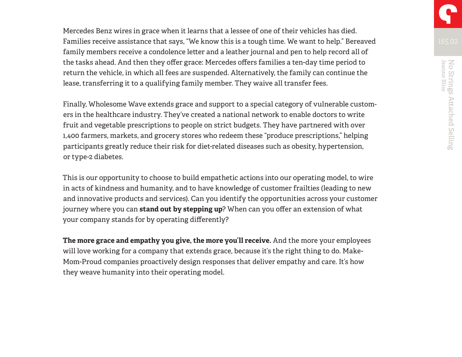Mercedes Benz wires in grace when it learns that a lessee of one of their vehicles has died. Families receive assistance that says, "We know this is a tough time. We want to help." Bereaved family members receive a condolence letter and a leather journal and pen to help record all of the tasks ahead. And then they offer grace: Mercedes offers families a ten-day time period to return the vehicle, in which all fees are suspended. Alternatively, the family can continue the lease, transferring it to a qualifying family member. They waive all transfer fees.

Finally, Wholesome Wave extends grace and support to a special category of vulnerable customers in the healthcare industry. They've created a national network to enable doctors to write fruit and vegetable prescriptions to people on strict budgets. They have partnered with over 1,400 farmers, markets, and grocery stores who redeem these "produce prescriptions," helping participants greatly reduce their risk for diet-related diseases such as obesity, hypertension, or type-2 diabetes.

This is our opportunity to choose to build empathetic actions into our operating model, to wire in acts of kindness and humanity, and to have knowledge of customer frailties (leading to new and innovative products and services). Can you identify the opportunities across your customer journey where you can **stand out by stepping up**? When can you offer an extension of what your company stands for by operating differently?

**The more grace and empathy you give, the more you'll receive.** And the more your employees will love working for a company that extends grace, because it's the right thing to do. Make-Mom-Proud companies proactively design responses that deliver empathy and care. It's how they weave humanity into their operating model.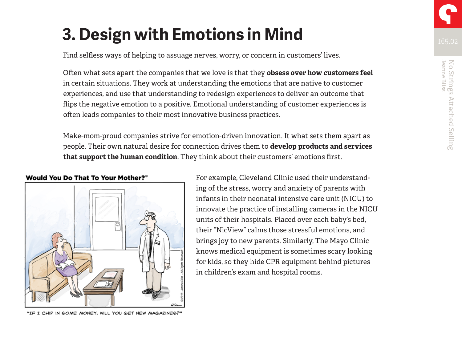Find selfless ways of helping to assuage nerves, worry, or concern in customers' lives.

Often what sets apart the companies that we love is that they **obsess over how customers feel**  in certain situations. They work at understanding the emotions that are native to customer experiences, and use that understanding to redesign experiences to deliver an outcome that flips the negative emotion to a positive. Emotional understanding of customer experiences is often leads companies to their most innovative business practices.

Make-mom-proud companies strive for emotion-driven innovation. It what sets them apart as people. Their own natural desire for connection drives them to **develop products and services that support the human condition**. They think about their customers' emotions first.

Would You Do That To Your Mother?®

"IF I CHIP IN SOME MONEY, WILL YOU GET NEW MAGAZINES?"

For example, Cleveland Clinic used their understanding of the stress, worry and anxiety of parents with infants in their neonatal intensive care unit (NICU) to innovate the practice of installing cameras in the NICU units of their hospitals. Placed over each baby's bed, their "NicView" calms those stressful emotions, and brings joy to new parents. Similarly, The Mayo Clinic knows medical equipment is sometimes scary looking for kids, so they hide CPR equipment behind pictures in children's exam and hospital rooms.

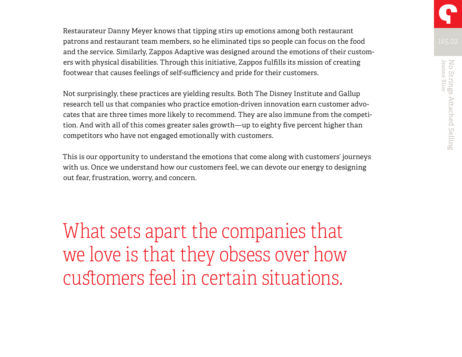Restaurateur Danny Meyer knows that tipping stirs up emotions among both restaurant patrons and restaurant team members, so he eliminated tips so people can focus on the food and the service. Similarly, Zappos Adaptive was designed around the emotions of their customers with physical disabilities. Through this initiative, Zappos fulfills its mission of creating footwear that causes feelings of self-sufficiency and pride for their customers.

Not surprisingly, these practices are yielding results. Both The Disney Institute and Gallup research tell us that companies who practice emotion-driven innovation earn customer advocates that are three times more likely to recommend. They are also immune from the competition. And with all of this comes greater sales growth—up to eighty five percent higher than competitors who have not engaged emotionally with customers.

This is our opportunity to understand the emotions that come along with customers' journeys with us. Once we understand how our customers feel, we can devote our energy to designing out fear, frustration, worry, and concern.

What sets apart the companies that we love is that they obsess over how customers feel in certain situations.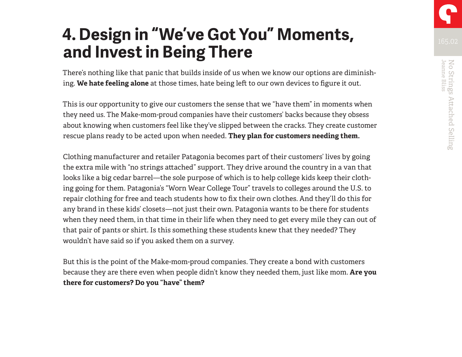## **4. Design in "We've Got You" Moments, and Invest in Being There**

There's nothing like that panic that builds inside of us when we know our options are diminishing. **We hate feeling alone** at those times, hate being left to our own devices to figure it out.

This is our opportunity to give our customers the sense that we "have them" in moments when they need us. The Make-mom-proud companies have their customers' backs because they obsess about knowing when customers feel like they've slipped between the cracks. They create customer rescue plans ready to be acted upon when needed. **They plan for customers needing them.** 

Clothing manufacturer and retailer Patagonia becomes part of their customers' lives by going the extra mile with "no strings attached" support. They drive around the country in a van that looks like a big cedar barrel—the sole purpose of which is to help college kids keep their clothing going for them. Patagonia's "Worn Wear College Tour" travels to colleges around the U.S. to repair clothing for free and teach students how to fix their own clothes. And they'll do this for any brand in these kids' closets—not just their own. Patagonia wants to be there for students when they need them, in that time in their life when they need to get every mile they can out of that pair of pants or shirt. Is this something these students knew that they needed? They wouldn't have said so if you asked them on a survey.

But this is the point of the Make-mom-proud companies. They create a bond with customers because they are there even when people didn't know they needed them, just like mom. **Are you there for customers? Do you "have" them?**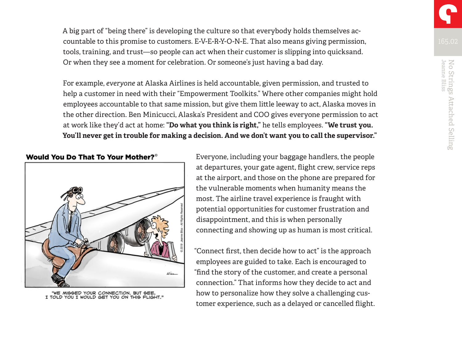A big part of "being there" is developing the culture so that everybody holds themselves accountable to this promise to customers. E-V-E-R-Y-O-N-E. That also means giving permission, tools, training, and trust—so people can act when their customer is slipping into quicksand. Or when they see a moment for celebration. Or someone's just having a bad day.

For example, *everyone* at Alaska Airlines is held accountable, given permission, and trusted to help a customer in need with their "Empowerment Toolkits." Where other companies might hold employees accountable to that same mission, but give them little leeway to act, Alaska moves in the other direction. Ben Minicucci, Alaska's President and COO gives everyone permission to act at work like they'd act at home: **"Do what you think is right,"** he tells employees. **"We trust you. You'll never get in trouble for making a decision. And we don't want you to call the supervisor."** 

Would You Do That To Your Mother?<sup>®</sup>



"WE MISSED YOUR CONNECTION. BUT SEE,<br>I TOLD YOU I WOULD GET YOU ON THIS FLIGHT."

Everyone, including your baggage handlers, the people at departures, your gate agent, flight crew, service reps at the airport, and those on the phone are prepared for the vulnerable moments when humanity means the most. The airline travel experience is fraught with potential opportunities for customer frustration and disappointment, and this is when personally connecting and showing up as human is most critical.

"Connect first, then decide how to act" is the approach employees are guided to take. Each is encouraged to "find the story of the customer, and create a personal connection." That informs how they decide to act and how to personalize how they solve a challenging customer experience, such as a delayed or cancelled flight. No Strings Attached Selling<br>Jeanne Bliss

No Strings Attached Selling<br>Jeanne Bliss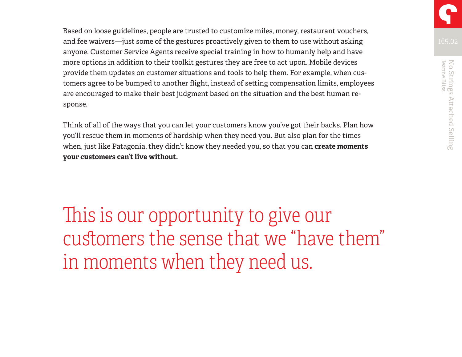Based on loose guidelines, people are trusted to customize miles, money, restaurant vouchers, and fee waivers—just some of the gestures proactively given to them to use without asking anyone. Customer Service Agents receive special training in how to humanly help and have more options in addition to their toolkit gestures they are free to act upon. Mobile devices provide them updates on customer situations and tools to help them. For example, when customers agree to be bumped to another flight, instead of setting compensation limits, employees are encouraged to make their best judgment based on the situation and the best human response.

Think of all of the ways that you can let your customers know you've got their backs. Plan how you'll rescue them in moments of hardship when they need you. But also plan for the times when, just like Patagonia, they didn't know they needed you, so that you can **create moments your customers can't live without.**

This is our opportunity to give our customers the sense that we "have them" in moments when they need us.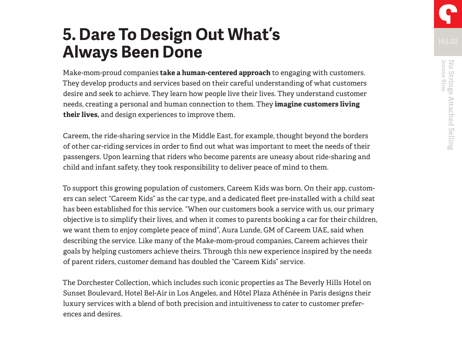No Strings Attached Selling<br>Jeanne Bliss

No Strings Attached Selling<br>Jeanne Bliss

## **5. Dare To Design Out What's Always Been Done**

Make-mom-proud companies **take a human-centered approach** to engaging with customers. They develop products and services based on their careful understanding of what customers desire and seek to achieve. They learn how people live their lives. They understand customer needs, creating a personal and human connection to them. They **imagine customers living their lives,** and design experiences to improve them.

Careem, the ride-sharing service in the Middle East, for example, thought beyond the borders of other car-riding services in order to find out what was important to meet the needs of their passengers. Upon learning that riders who become parents are uneasy about ride-sharing and child and infant safety, they took responsibility to deliver peace of mind to them.

To support this growing population of customers, Careem Kids was born. On their app, customers can select "Careem Kids" as the car type, and a dedicated fleet pre-installed with a child seat has been established for this service. "When our customers book a service with us, our primary objective is to simplify their lives, and when it comes to parents booking a car for their children, we want them to enjoy complete peace of mind", Aura Lunde, GM of Careem UAE, said when describing the service. Like many of the Make-mom-proud companies, Careem achieves their goals by helping customers achieve theirs. Through this new experience inspired by the needs of parent riders, customer demand has doubled the "Careem Kids" service.

The Dorchester Collection, which includes such iconic properties as The Beverly Hills Hotel on Sunset Boulevard, Hotel Bel-Air in Los Angeles, and Hôtel Plaza Athénée in Paris designs their luxury services with a blend of both precision and intuitiveness to cater to customer preferences and desires.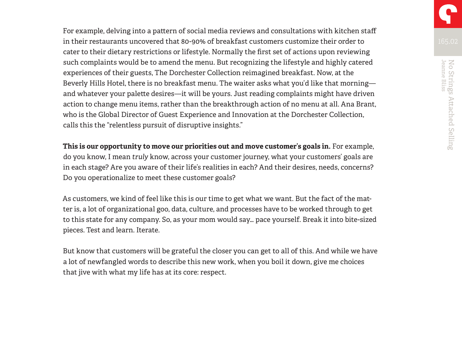For example, delving into a pattern of social media reviews and consultations with kitchen staff in their restaurants uncovered that 80-90% of breakfast customers customize their order to cater to their dietary restrictions or lifestyle. Normally the first set of actions upon reviewing such complaints would be to amend the menu. But recognizing the lifestyle and highly catered experiences of their guests, The Dorchester Collection reimagined breakfast. Now, at the Beverly Hills Hotel, there is no breakfast menu. The waiter asks what you'd like that morning and whatever your palette desires—it will be yours. Just reading complaints might have driven action to change menu items, rather than the breakthrough action of no menu at all. Ana Brant, who is the Global Director of Guest Experience and Innovation at the Dorchester Collection, calls this the "relentless pursuit of disruptive insights."

**This is our opportunity to move our priorities out and move customer's goals in.** For example, do you know, I mean *truly* know, across your customer journey, what your customers' goals are in each stage? Are you aware of their life's realities in each? And their desires, needs, concerns? Do you operationalize to meet these customer goals?

As customers, we kind of feel like this is our time to get what we want. But the fact of the matter is, a lot of organizational goo, data, culture, and processes have to be worked through to get to this state for any company. So, as your mom would say… pace yourself. Break it into bite-sized pieces. Test and learn. Iterate.

But know that customers will be grateful the closer you can get to all of this. And while we have a lot of newfangled words to describe this new work, when you boil it down, give me choices that jive with what my life has at its core: respect.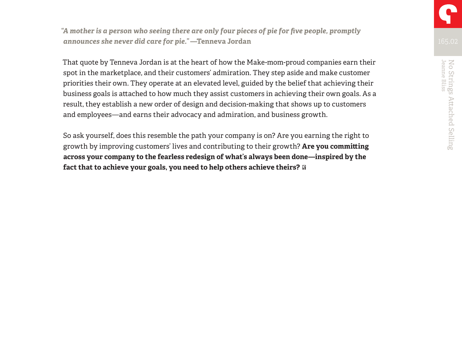*"A mother is a person who seeing there are only four pieces of pie for five people, promptly announces she never did care for pie."* **—Tenneva Jordan**

That quote by Tenneva Jordan is at the heart of how the Make-mom-proud companies earn their spot in the marketplace, and their customers' admiration. They step aside and make customer priorities their own. They operate at an elevated level, guided by the belief that achieving their business goals is attached to how much they assist customers in achieving their own goals. As a result, they establish a new order of design and decision-making that shows up to customers and employees—and earns their advocacy and admiration, and business growth.

So ask yourself, does this resemble the path your company is on? Are you earning the right to growth by improving customers' lives and contributing to their growth? **Are you committing across your company to the fearless redesign of what's always been done—inspired by the fact that to achieve your goals, you need to help others achieve theirs?**